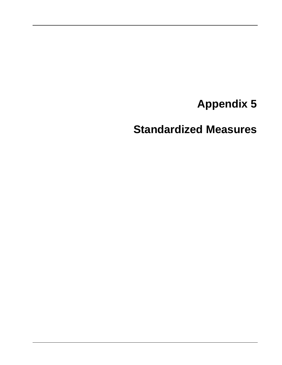# **Appendix 5**

**Standardized Measures**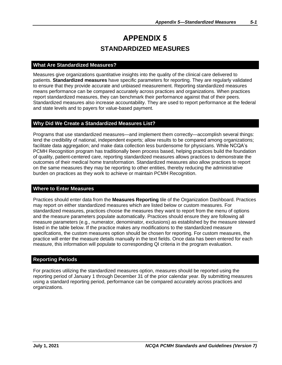## **APPENDIX 5 STANDARDIZED MEASURES**

### **What Are Standardized Measures?**

Measures give organizations quantitative insights into the quality of the clinical care delivered to patients. **Standardized measures** have specific parameters for reporting. They are regularly validated to ensure that they provide accurate and unbiased measurement. Reporting standardized measures means performance can be compared accurately across practices and organizations. When practices report standardized measures, they can benchmark their performance against that of their peers. Standardized measures also increase accountability. They are used to report performance at the federal and state levels and to payers for value-based payment.

#### **Why Did We Create a Standardized Measures List?**

Programs that use standardized measures—and implement them correctly—accomplish several things: lend the credibility of national, independent experts; allow results to be compared among organizations; facilitate data aggregation; and make data collection less burdensome for physicians. While NCQA's PCMH Recognition program has traditionally been process based, helping practices build the foundation of quality, patient-centered care, reporting standardized measures allows practices to demonstrate the outcomes of their medical home transformation. Standardized measures also allow practices to report on the same measures they may be reporting to other entities, thereby reducing the administrative burden on practices as they work to achieve or maintain PCMH Recognition.

#### **Where to Enter Measures**

Practices should enter data from the **Measures Reporting** tile of the Organization Dashboard. Practices may report on either standardized measures which are listed below or custom measures. For standardized measures, practices choose the measures they want to report from the menu of options and the measure parameters populate automatically. Practices should ensure they are following all measure parameters (e.g., numerator, denominator, exclusions) as established by the measure steward listed in the table below. If the practice makes any modifications to the standardized measure specifcations, the custom measures option should be chosen for reporting. For custom measures, the practice will enter the measure details manually in the text fields. Once data has been entered for each measure, this information will populate to corresponding QI criteria in the program evaluation.

#### **Reporting Periods**

For practices utilizing the standardized measures option, measures should be reported using the reporting period of January 1 through December 31 of the prior calendar year. By submitting measures using a standard reporting period, performance can be compared accurately across practices and organizations.